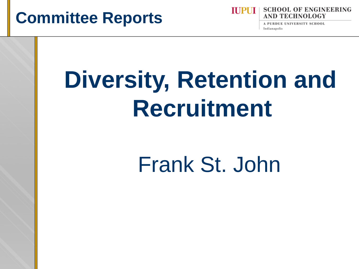## **Committee Reports**



**A PURDUE UNIVERSITY SCHOOL** Indianapolis

# **Diversity, Retention and Recruitment**

Frank St. John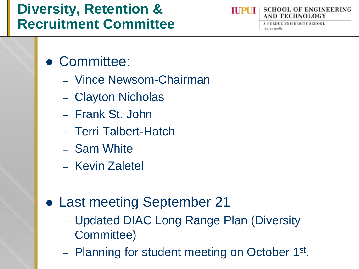#### **Diversity, Retention & Recruitment Committee**



A PURDUE UNIVERSITY SCHOOL Indianapolis

- Committee:
	- Vince Newsom-Chairman
	- Clayton Nicholas
	- Frank St. John
	- Terri Talbert-Hatch
	- Sam White
	- Kevin Zaletel
- Last meeting September 21
	- Updated DIAC Long Range Plan (Diversity Committee)
	- Planning for student meeting on October 1<sup>st</sup>.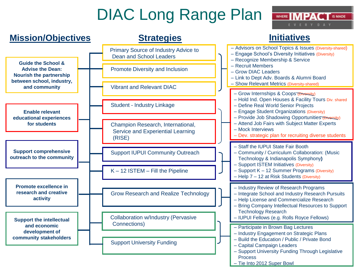## DIAC Long Range Plan

WHERE IS MADE

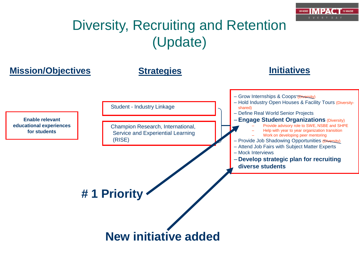## Diversity, Recruiting and Retention (Update)

**IS MADE**